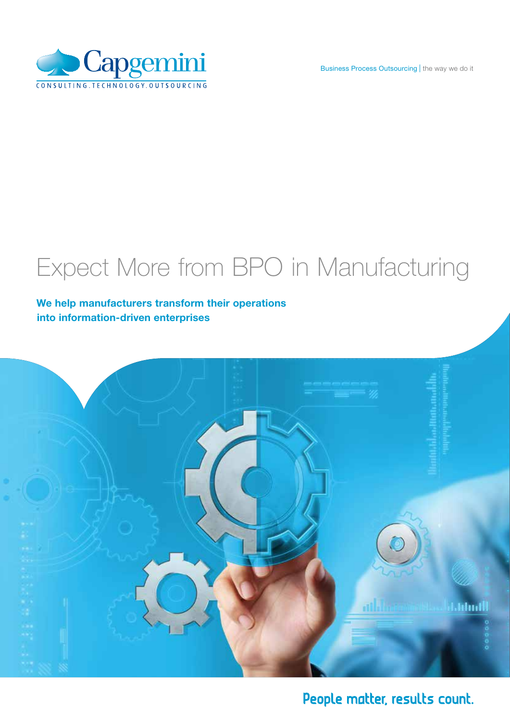



### Expect More from BPO in Manufacturing

### We help manufacturers transform their operations into information-driven enterprises



People matter, results count.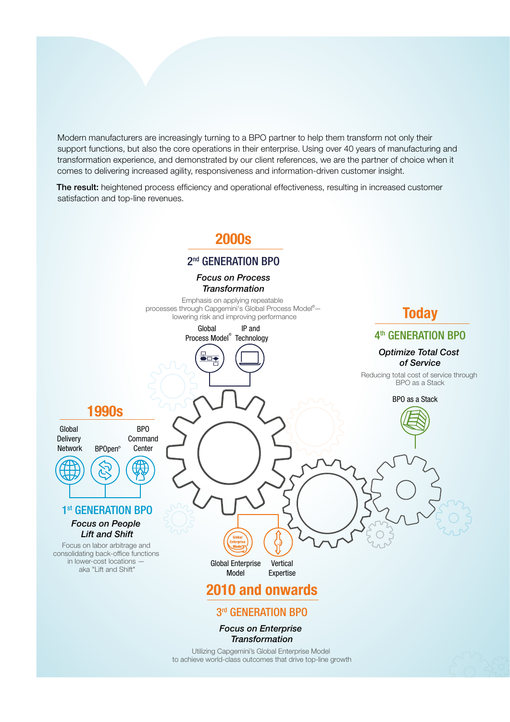Modern manufacturers are increasingly turning to a BPO partner to help them transform not only their support functions, but also the core operations in their enterprise. Using over 40 years of manufacturing and transformation experience, and demonstrated by our client references, we are the partner of choice when it comes to delivering increased agility, responsiveness and information-driven customer insight.

The result: heightened process efficiency and operational effectiveness, resulting in increased customer satisfaction and top-line revenues.

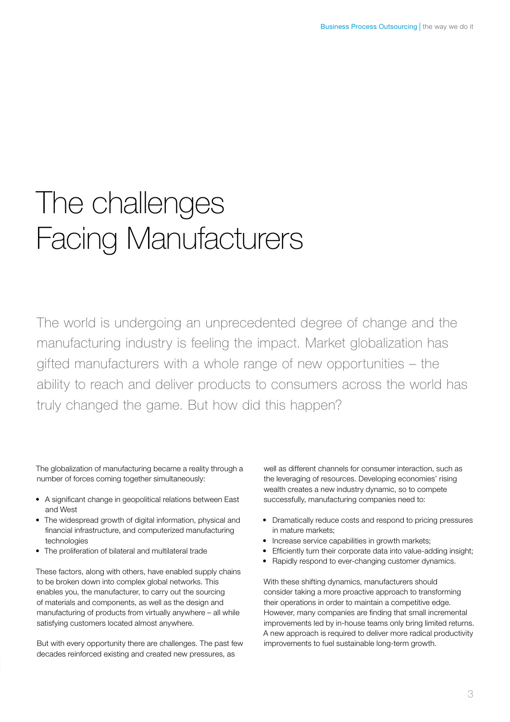## The challenges Facing Manufacturers

The world is undergoing an unprecedented degree of change and the manufacturing industry is feeling the impact. Market globalization has gifted manufacturers with a whole range of new opportunities – the ability to reach and deliver products to consumers across the world has truly changed the game. But how did this happen?

The globalization of manufacturing became a reality through a number of forces coming together simultaneously:

- A significant change in geopolitical relations between East and West
- The widespread growth of digital information, physical and financial infrastructure, and computerized manufacturing technologies
- The proliferation of bilateral and multilateral trade

These factors, along with others, have enabled supply chains to be broken down into complex global networks. This enables you, the manufacturer, to carry out the sourcing of materials and components, as well as the design and manufacturing of products from virtually anywhere – all while satisfying customers located almost anywhere.

But with every opportunity there are challenges. The past few decades reinforced existing and created new pressures, as

well as different channels for consumer interaction, such as the leveraging of resources. Developing economies' rising wealth creates a new industry dynamic, so to compete successfully, manufacturing companies need to:

- Dramatically reduce costs and respond to pricing pressures in mature markets;
- Increase service capabilities in growth markets:
- Efficiently turn their corporate data into value-adding insight:
- Rapidly respond to ever-changing customer dynamics.

With these shifting dynamics, manufacturers should consider taking a more proactive approach to transforming their operations in order to maintain a competitive edge. However, many companies are finding that small incremental improvements led by in-house teams only bring limited returns. A new approach is required to deliver more radical productivity improvements to fuel sustainable long-term growth.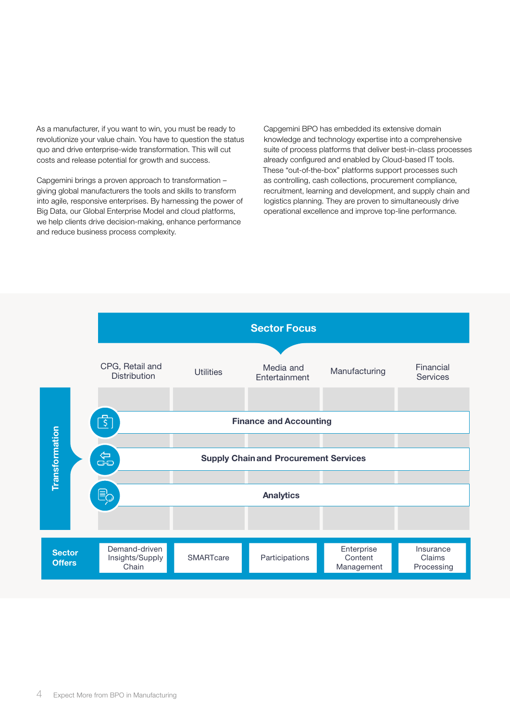As a manufacturer, if you want to win, you must be ready to revolutionize your value chain. You have to question the status quo and drive enterprise-wide transformation. This will cut costs and release potential for growth and success.

Capgemini brings a proven approach to transformation – giving global manufacturers the tools and skills to transform into agile, responsive enterprises. By harnessing the power of Big Data, our Global Enterprise Model and cloud platforms, we help clients drive decision-making, enhance performance and reduce business process complexity.

Capgemini BPO has embedded its extensive domain knowledge and technology expertise into a comprehensive suite of process platforms that deliver best-in-class processes already configured and enabled by Cloud-based IT tools. These "out-of-the-box" platforms support processes such as controlling, cash collections, procurement compliance, recruitment, learning and development, and supply chain and logistics planning. They are proven to simultaneously drive operational excellence and improve top-line performance.

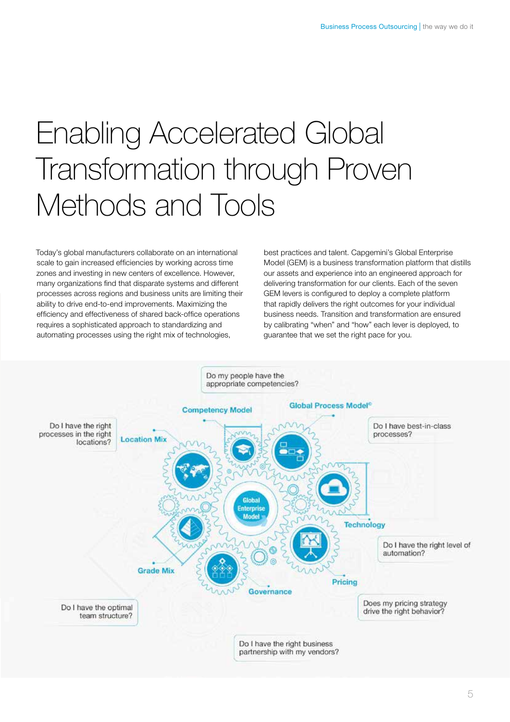# Enabling Accelerated Global Transformation through Proven Methods and Tools

Today's global manufacturers collaborate on an international scale to gain increased efficiencies by working across time zones and investing in new centers of excellence. However, many organizations find that disparate systems and different processes across regions and business units are limiting their ability to drive end-to-end improvements. Maximizing the efficiency and effectiveness of shared back-office operations requires a sophisticated approach to standardizing and automating processes using the right mix of technologies,

best practices and talent. Capgemini's Global Enterprise Model (GEM) is a business transformation platform that distills our assets and experience into an engineered approach for delivering transformation for our clients. Each of the seven GEM levers is configured to deploy a complete platform that rapidly delivers the right outcomes for your individual business needs. Transition and transformation are ensured by calibrating "when" and "how" each lever is deployed, to guarantee that we set the right pace for you.

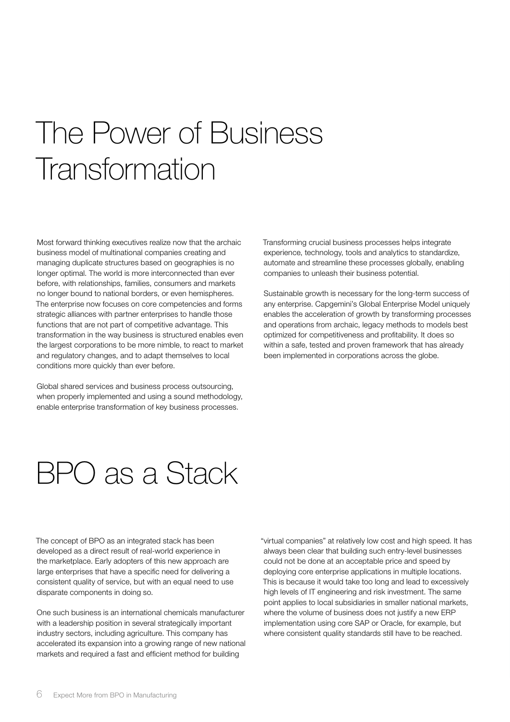# The Power of Business Transformation

Most forward thinking executives realize now that the archaic business model of multinational companies creating and managing duplicate structures based on geographies is no longer optimal. The world is more interconnected than ever before, with relationships, families, consumers and markets no longer bound to national borders, or even hemispheres. The enterprise now focuses on core competencies and forms strategic alliances with partner enterprises to handle those functions that are not part of competitive advantage. This transformation in the way business is structured enables even the largest corporations to be more nimble, to react to market and regulatory changes, and to adapt themselves to local conditions more quickly than ever before.

Global shared services and business process outsourcing, when properly implemented and using a sound methodology, enable enterprise transformation of key business processes.

Transforming crucial business processes helps integrate experience, technology, tools and analytics to standardize, automate and streamline these processes globally, enabling companies to unleash their business potential.

Sustainable growth is necessary for the long-term success of any enterprise. Capgemini's Global Enterprise Model uniquely enables the acceleration of growth by transforming processes and operations from archaic, legacy methods to models best optimized for competitiveness and profitability. It does so within a safe, tested and proven framework that has already been implemented in corporations across the globe.

### BPO as a Stack

The concept of BPO as an integrated stack has been developed as a direct result of real-world experience in the marketplace. Early adopters of this new approach are large enterprises that have a specific need for delivering a consistent quality of service, but with an equal need to use disparate components in doing so.

One such business is an international chemicals manufacturer with a leadership position in several strategically important industry sectors, including agriculture. This company has accelerated its expansion into a growing range of new national markets and required a fast and efficient method for building

"virtual companies" at relatively low cost and high speed. It has always been clear that building such entry-level businesses could not be done at an acceptable price and speed by deploying core enterprise applications in multiple locations. This is because it would take too long and lead to excessively high levels of IT engineering and risk investment. The same point applies to local subsidiaries in smaller national markets, where the volume of business does not justify a new ERP implementation using core SAP or Oracle, for example, but where consistent quality standards still have to be reached.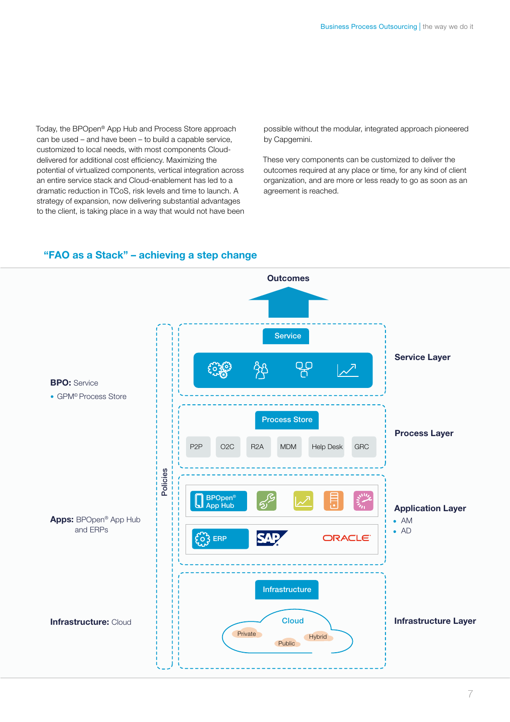Today, the BPOpen® App Hub and Process Store approach can be used – and have been – to build a capable service, customized to local needs, with most components Clouddelivered for additional cost efficiency. Maximizing the potential of virtualized components, vertical integration across an entire service stack and Cloud-enablement has led to a dramatic reduction in TCoS, risk levels and time to launch. A strategy of expansion, now delivering substantial advantages to the client, is taking place in a way that would not have been possible without the modular, integrated approach pioneered by Capgemini.

These very components can be customized to deliver the outcomes required at any place or time, for any kind of client organization, and are more or less ready to go as soon as an agreement is reached.



#### "FAO as a Stack" – achieving a step change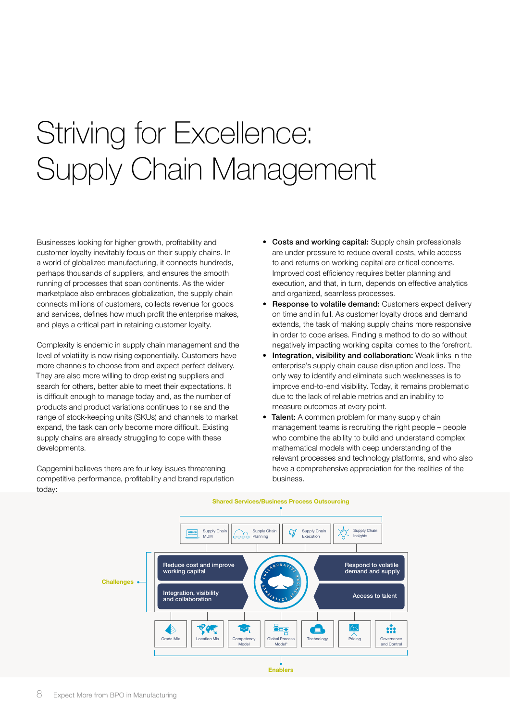# Striving for Excellence: Supply Chain Management

Businesses looking for higher growth, profitability and customer loyalty inevitably focus on their supply chains. In a world of globalized manufacturing, it connects hundreds, perhaps thousands of suppliers, and ensures the smooth running of processes that span continents. As the wider marketplace also embraces globalization, the supply chain connects millions of customers, collects revenue for goods and services, defines how much profit the enterprise makes, and plays a critical part in retaining customer loyalty.

Complexity is endemic in supply chain management and the level of volatility is now rising exponentially. Customers have more channels to choose from and expect perfect delivery. They are also more willing to drop existing suppliers and search for others, better able to meet their expectations. It is difficult enough to manage today and, as the number of products and product variations continues to rise and the range of stock-keeping units (SKUs) and channels to market expand, the task can only become more difficult. Existing supply chains are already struggling to cope with these developments.

Capgemini believes there are four key issues threatening competitive performance, profitability and brand reputation today:

- Costs and working capital: Supply chain professionals are under pressure to reduce overall costs, while access to and returns on working capital are critical concerns. Improved cost efficiency requires better planning and execution, and that, in turn, depends on effective analytics and organized, seamless processes.
- **Response to volatile demand:** Customers expect delivery on time and in full. As customer loyalty drops and demand extends, the task of making supply chains more responsive in order to cope arises. Finding a method to do so without negatively impacting working capital comes to the forefront.
- Integration, visibility and collaboration: Weak links in the enterprise's supply chain cause disruption and loss. The only way to identify and eliminate such weaknesses is to improve end-to-end visibility. Today, it remains problematic due to the lack of reliable metrics and an inability to measure outcomes at every point.
- Talent: A common problem for many supply chain management teams is recruiting the right people – people who combine the ability to build and understand complex mathematical models with deep understanding of the relevant processes and technology platforms, and who also have a comprehensive appreciation for the realities of the business.

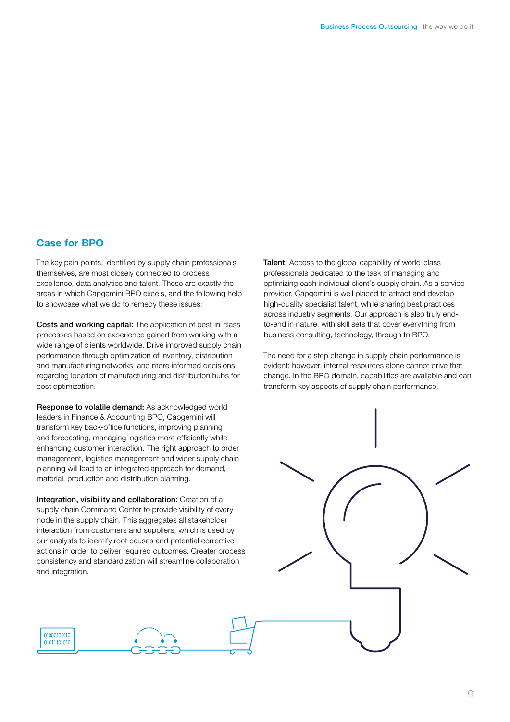#### Case for BPO

01000100110 01011101010

The key pain points, identified by supply chain professionals themselves, are most closely connected to process excellence, data analytics and talent. These are exactly the areas in which Capgemini BPO excels, and the following help to showcase what we do to remedy these issues:

Costs and working capital: The application of best-in-class processes based on experience gained from working with a wide range of clients worldwide. Drive improved supply chain performance through optimization of inventory, distribution and manufacturing networks, and more informed decisions regarding location of manufacturing and distribution hubs for cost optimization.

Response to volatile demand: As acknowledged world leaders in Finance & Accounting BPO, Capgemini will transform key back-office functions, improving planning and forecasting, managing logistics more efficiently while enhancing customer interaction. The right approach to order management, logistics management and wider supply chain planning will lead to an integrated approach for demand, material, production and distribution planning.

Integration, visibility and collaboration: Creation of a supply chain Command Center to provide visibility of every node in the supply chain. This aggregates all stakeholder interaction from customers and suppliers, which is used by our analysts to identify root causes and potential corrective actions in order to deliver required outcomes. Greater process consistency and standardization will streamline collaboration and integration.

Talent: Access to the global capability of world-class professionals dedicated to the task of managing and optimizing each individual client's supply chain. As a service provider, Capgemini is well placed to attract and develop high-quality specialist talent, while sharing best practices across industry segments. Our approach is also truly endto-end in nature, with skill sets that cover everything from business consulting, technology, through to BPO.

The need for a step change in supply chain performance is evident; however, internal resources alone cannot drive that change. In the BPO domain, capabilities are available and can transform key aspects of supply chain performance.

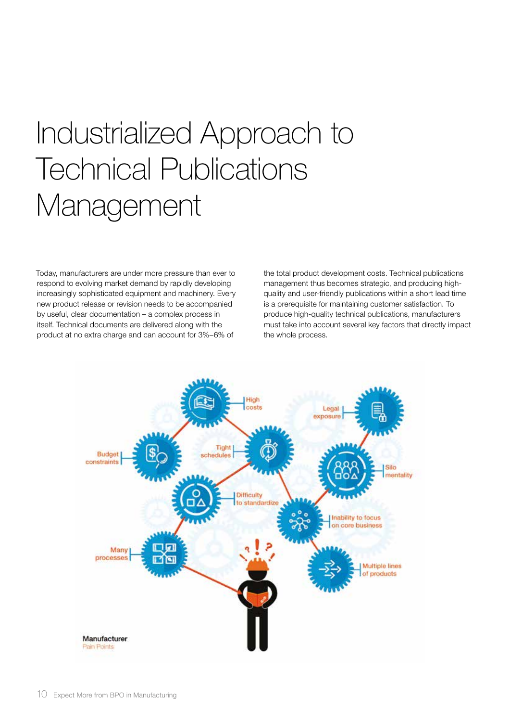# Industrialized Approach to Technical Publications Management

Today, manufacturers are under more pressure than ever to respond to evolving market demand by rapidly developing increasingly sophisticated equipment and machinery. Every new product release or revision needs to be accompanied by useful, clear documentation – a complex process in itself. Technical documents are delivered along with the product at no extra charge and can account for 3%–6% of

the total product development costs. Technical publications management thus becomes strategic, and producing highquality and user-friendly publications within a short lead time is a prerequisite for maintaining customer satisfaction. To produce high-quality technical publications, manufacturers must take into account several key factors that directly impact the whole process.

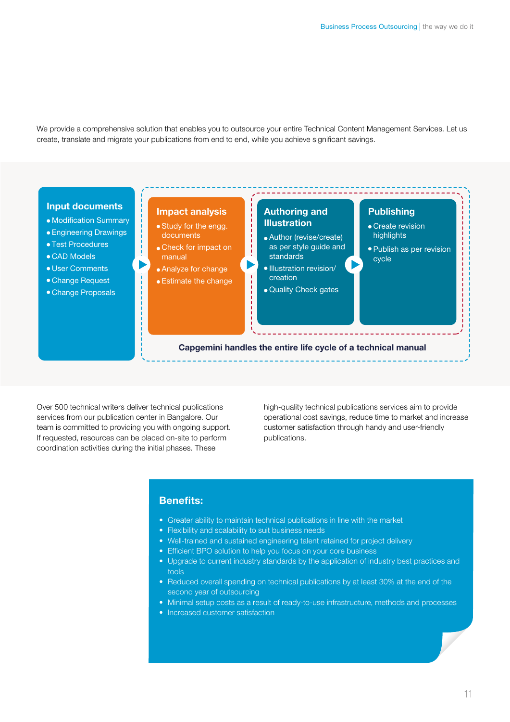We provide a comprehensive solution that enables you to outsource your entire Technical Content Management Services. Let us create, translate and migrate your publications from end to end, while you achieve significant savings.



Over 500 technical writers deliver technical publications services from our publication center in Bangalore. Our team is committed to providing you with ongoing support. If requested, resources can be placed on-site to perform coordination activities during the initial phases. These

high-quality technical publications services aim to provide operational cost savings, reduce time to market and increase customer satisfaction through handy and user-friendly publications.

#### Benefits:

- Greater ability to maintain technical publications in line with the market
- Flexibility and scalability to suit business needs
- Well-trained and sustained engineering talent retained for project delivery
- Efficient BPO solution to help you focus on your core business
- Upgrade to current industry standards by the application of industry best practices and tools
- Reduced overall spending on technical publications by at least 30% at the end of the second year of outsourcing
- Minimal setup costs as a result of ready-to-use infrastructure, methods and processes
- Increased customer satisfaction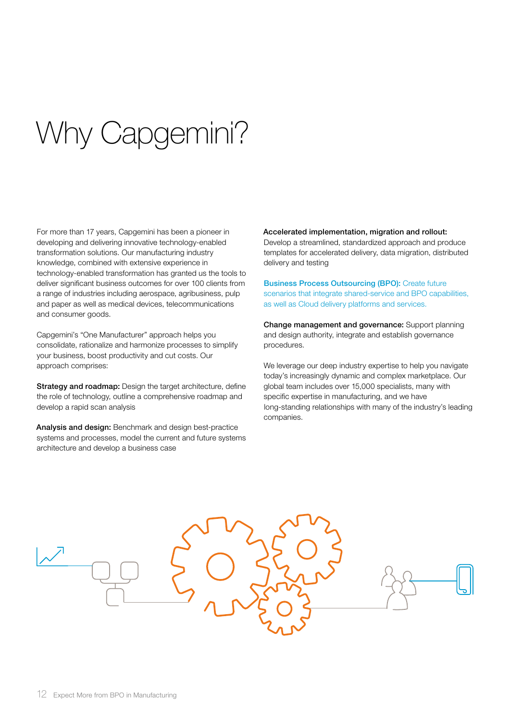# Why Capgemini?

For more than 17 years, Capgemini has been a pioneer in developing and delivering innovative technology-enabled transformation solutions. Our manufacturing industry knowledge, combined with extensive experience in technology-enabled transformation has granted us the tools to deliver significant business outcomes for over 100 clients from a range of industries including aerospace, agribusiness, pulp and paper as well as medical devices, telecommunications and consumer goods.

Capgemini's "One Manufacturer" approach helps you consolidate, rationalize and harmonize processes to simplify your business, boost productivity and cut costs. Our approach comprises:

Strategy and roadmap: Design the target architecture, define the role of technology, outline a comprehensive roadmap and develop a rapid scan analysis

Analysis and design: Benchmark and design best-practice systems and processes, model the current and future systems architecture and develop a business case

#### Accelerated implementation, migration and rollout:

Develop a streamlined, standardized approach and produce templates for accelerated delivery, data migration, distributed delivery and testing

Business Process Outsourcing (BPO): Create future scenarios that integrate shared-service and BPO capabilities, as well as Cloud delivery platforms and services.

Change management and governance: Support planning and design authority, integrate and establish governance procedures.

We leverage our deep industry expertise to help you navigate today's increasingly dynamic and complex marketplace. Our global team includes over 15,000 specialists, many with specific expertise in manufacturing, and we have long-standing relationships with many of the industry's leading companies.

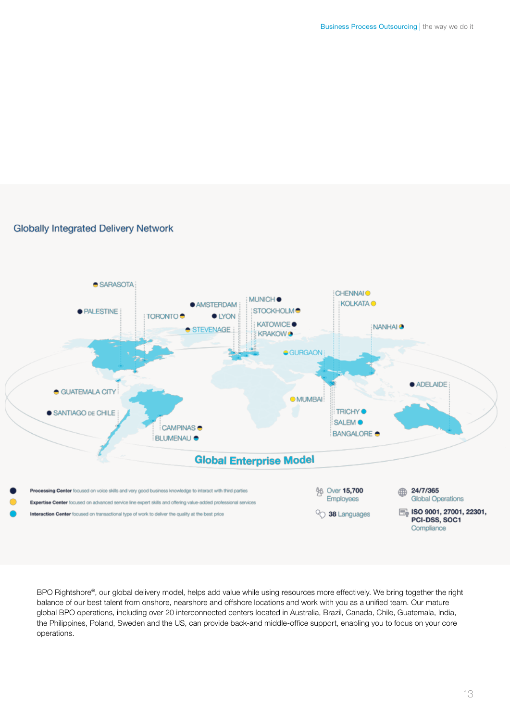#### **Globally Integrated Delivery Network**



BPO Rightshore®, our global delivery model, helps add value while using resources more effectively. We bring together the right balance of our best talent from onshore, nearshore and offshore locations and work with you as a unified team. Our mature global BPO operations, including over 20 interconnected centers located in Australia, Brazil, Canada, Chile, Guatemala, India, the Philippines, Poland, Sweden and the US, can provide back-and middle-office support, enabling you to focus on your core operations.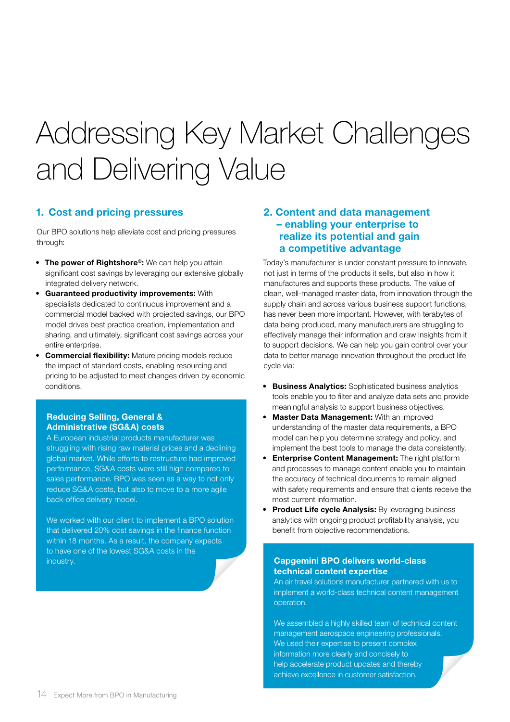# Addressing Key Market Challenges and Delivering Value

#### 1. Cost and pricing pressures

Our BPO solutions help alleviate cost and pricing pressures through:

- The power of Rightshore®: We can help you attain significant cost savings by leveraging our extensive globally integrated delivery network.
- Guaranteed productivity improvements: With specialists dedicated to continuous improvement and a commercial model backed with projected savings, our BPO model drives best practice creation, implementation and sharing, and ultimately, significant cost savings across your entire enterprise.
- **Commercial flexibility:** Mature pricing models reduce the impact of standard costs, enabling resourcing and pricing to be adjusted to meet changes driven by economic conditions.

#### Reducing Selling, General & Administrative (SG&A) costs

A European industrial products manufacturer was struggling with rising raw material prices and a declining global market. While efforts to restructure had improved performance, SG&A costs were still high compared to sales performance. BPO was seen as a way to not only reduce SG&A costs, but also to move to a more agile back-office delivery model.

We worked with our client to implement a BPO solution that delivered 20% cost savings in the finance function within 18 months. As a result, the company expects to have one of the lowest SG&A costs in the industry. Capgemini BPO delivers world-class

#### 2. Content and data management – enabling your enterprise to realize its potential and gain a competitive advantage

Today's manufacturer is under constant pressure to innovate, not just in terms of the products it sells, but also in how it manufactures and supports these products. The value of clean, well-managed master data, from innovation through the supply chain and across various business support functions, has never been more important. However, with terabytes of data being produced, many manufacturers are struggling to effectively manage their information and draw insights from it to support decisions. We can help you gain control over your data to better manage innovation throughout the product life cycle via:

- Business Analytics: Sophisticated business analytics tools enable you to filter and analyze data sets and provide meaningful analysis to support business objectives.
- Master Data Management: With an improved understanding of the master data requirements, a BPO model can help you determine strategy and policy, and implement the best tools to manage the data consistently.
- Enterprise Content Management: The right platform and processes to manage content enable you to maintain the accuracy of technical documents to remain aligned with safety requirements and ensure that clients receive the most current information.
- Product Life cycle Analysis: By leveraging business analytics with ongoing product profitability analysis, you benefit from objective recommendations.

### technical content expertise

An air travel solutions manufacturer partnered with us to implement a world-class technical content management operation.

We assembled a highly skilled team of technical content management aerospace engineering professionals. We used their expertise to present complex information more clearly and concisely to help accelerate product updates and thereby achieve excellence in customer satisfaction.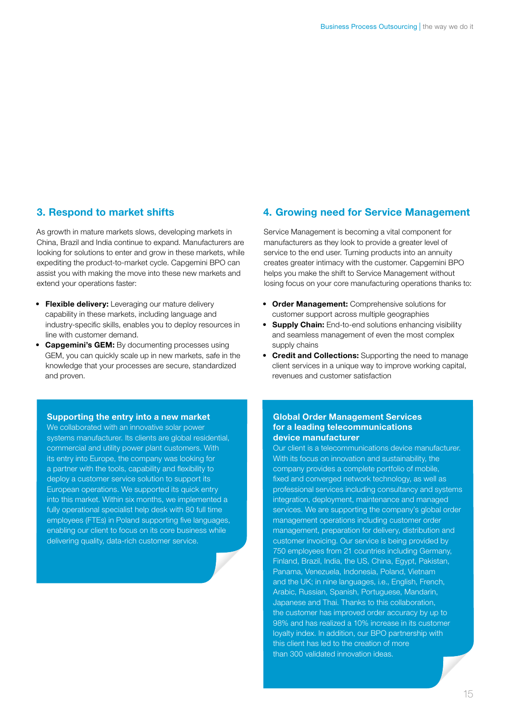#### 3. Respond to market shifts

As growth in mature markets slows, developing markets in China, Brazil and India continue to expand. Manufacturers are looking for solutions to enter and grow in these markets, while expediting the product-to-market cycle. Capgemini BPO can assist you with making the move into these new markets and extend your operations faster:

- Flexible delivery: Leveraging our mature delivery capability in these markets, including language and industry-specific skills, enables you to deploy resources in line with customer demand.
- Capgemini's GEM: By documenting processes using GEM, you can quickly scale up in new markets, safe in the knowledge that your processes are secure, standardized and proven.

#### 4. Growing need for Service Management

Service Management is becoming a vital component for manufacturers as they look to provide a greater level of service to the end user. Turning products into an annuity creates greater intimacy with the customer. Capgemini BPO helps you make the shift to Service Management without losing focus on your core manufacturing operations thanks to:

- Order Management: Comprehensive solutions for customer support across multiple geographies
- Supply Chain: End-to-end solutions enhancing visibility and seamless management of even the most complex supply chains
- Credit and Collections: Supporting the need to manage client services in a unique way to improve working capital, revenues and customer satisfaction

#### Supporting the entry into a new market

We collaborated with an innovative solar power systems manufacturer. Its clients are global residential, commercial and utility power plant customers. With its entry into Europe, the company was looking for a partner with the tools, capability and flexibility to deploy a customer service solution to support its European operations. We supported its quick entry into this market. Within six months, we implemented a fully operational specialist help desk with 80 full time employees (FTEs) in Poland supporting five languages, enabling our client to focus on its core business while delivering quality, data-rich customer service.

#### Global Order Management Services for a leading telecommunications device manufacturer

Our client is a telecommunications device manufacturer. With its focus on innovation and sustainability, the company provides a complete portfolio of mobile, fixed and converged network technology, as well as professional services including consultancy and systems integration, deployment, maintenance and managed services. We are supporting the company's global order management operations including customer order management, preparation for delivery, distribution and customer invoicing. Our service is being provided by 750 employees from 21 countries including Germany, Finland, Brazil, India, the US, China, Egypt, Pakistan, Panama, Venezuela, Indonesia, Poland, Vietnam and the UK; in nine languages, i.e., English, French, Arabic, Russian, Spanish, Portuguese, Mandarin, Japanese and Thai. Thanks to this collaboration, the customer has improved order accuracy by up to 98% and has realized a 10% increase in its customer loyalty index. In addition, our BPO partnership with this client has led to the creation of more than 300 validated innovation ideas.